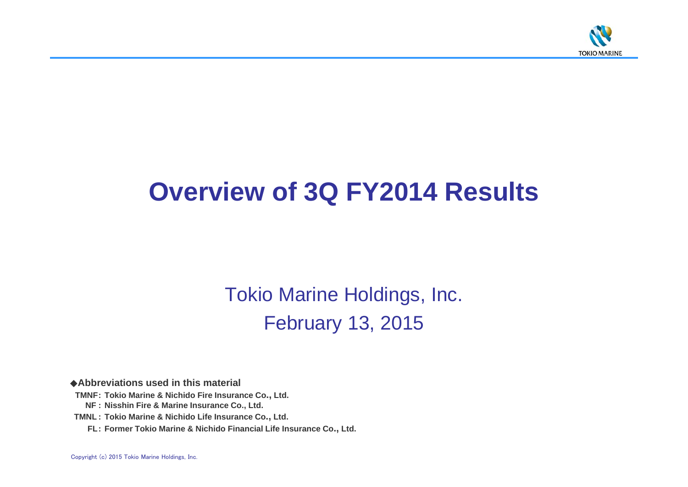

# **Overview of 3Q FY2014 Results**

Tokio Marine Holdings, Inc. February 13, 2015

◆**Abbreviations used in this material**

- **TMNF: Tokio Marine & Nichido Fire Insurance Co., Ltd.**
	- **NF : Nisshin Fire & Marine Insurance Co., Ltd.**
- **TMNL : Tokio Marine & Nichido Life Insurance Co., Ltd.**
	- **FL: Former Tokio Marine & Nichido Financial Life Insurance Co., Ltd.**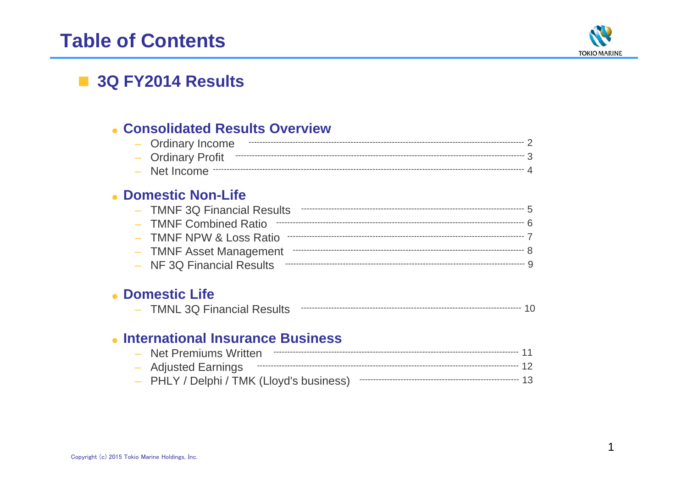# **Table of Contents**



## 3Q FY2014 Results

### • Consolidated Results Overview

| - Ordinary Income |  |
|-------------------|--|
|                   |  |
|                   |  |

### • Domestic Non-Life

| - TMNF 3Q Financial Results |  |
|-----------------------------|--|
|                             |  |
|                             |  |
| - TMNF Asset Management     |  |
|                             |  |

### • Domestic Life

|  | . MN<br>IVL JUT | -inancial Results |  |  |  |  |
|--|-----------------|-------------------|--|--|--|--|
|--|-----------------|-------------------|--|--|--|--|

### • International Insurance Business

| - Net Premiums Written |          |  |
|------------------------|----------|--|
|                        | ----- 12 |  |
|                        |          |  |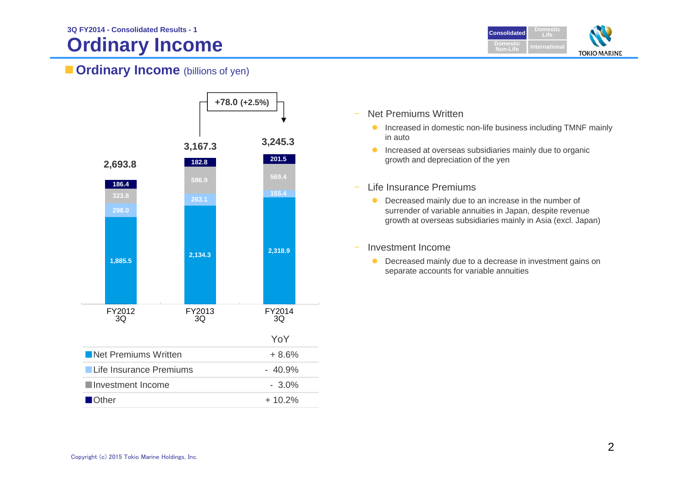# **Ordinary Income**



### **Ordinary Income** (billions of yen)



- – Net Premiums Written
	- **Increased in domestic non-life business including TMNF mainly** in auto
	- **Increased at overseas subsidiaries mainly due to organic** growth and depreciation of the yen
	- Life Insurance Premiums
		- **•** Decreased mainly due to an increase in the number of surrender of variable annuities in Japan, despite revenue growth at overseas subsidiaries mainly in Asia (excl. Japan)
- $\overline{a}$ Investment Income

–

**O** Decreased mainly due to a decrease in investment gains on separate accounts for variable annuities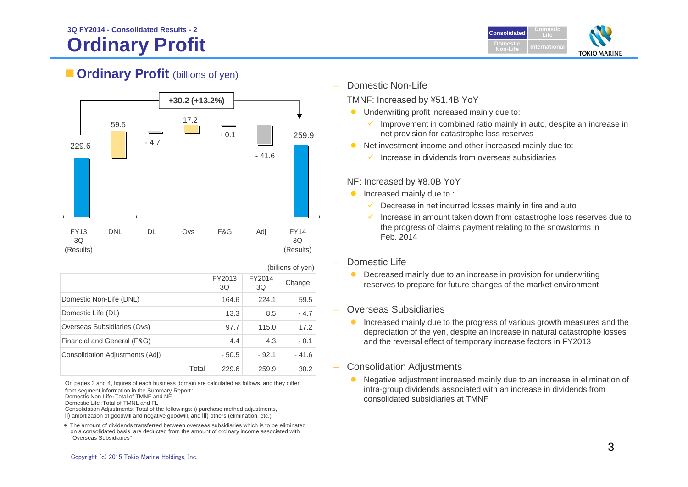### **Ordinary Profit 3Q FY2014 - Consolidated Results - 2**



### **Cordinary Profit** (billions of yen)



|                                 |       |                                        |         | (billions of yen) |  |  |
|---------------------------------|-------|----------------------------------------|---------|-------------------|--|--|
|                                 |       | FY2014<br>FY2013<br>Change<br>3Q<br>3Q |         |                   |  |  |
| Domestic Non-Life (DNL)         |       | 164.6                                  | 224.1   | 59.5              |  |  |
| Domestic Life (DL)              |       | 13.3                                   | 8.5     | $-4.7$            |  |  |
| Overseas Subsidiaries (Ovs)     |       | 97.7                                   | 115.0   | 17.2              |  |  |
| Financial and General (F&G)     |       | 4.4                                    | 4.3     | $-0.1$            |  |  |
| Consolidation Adjustments (Adj) |       | $-50.5$                                | $-92.1$ | $-41.6$           |  |  |
|                                 | Total | 229.6                                  | 259.9   | 30.2              |  |  |

On pages 3 and 4, figures of each business domain are calculated as follows, and they differ from segment information in the Summary Report:

Domestic Non-Life:Total of TMNF and NF

Domestic Life:Total of TMNL and FL

Consolidation Adjustments:Total of the followings: i) purchase method adjustments, ii) amortization of goodwill and negative goodwill, and iii) others (elimination, etc.)

\* The amount of dividends transferred between overseas subsidiaries which is to be eliminated on a consolidated basis, are deducted from the amount of ordinary income associated with "Overseas Subsidiaries"

Domestic Non-Life

TMNF: Increased by ¥51.4B YoY

- **•** Underwriting profit increased mainly due to:
	- $\checkmark$  Improvement in combined ratio mainly in auto, despite an increase in net provision for catastrophe loss reserves
- Net investment income and other increased mainly due to:
	- $\checkmark$  Increase in dividends from overseas subsidiaries

#### NF: Increased by ¥8.0B YoY

- **Increased mainly due to:** 
	- $\checkmark$  Decrease in net incurred losses mainly in fire and auto
	- $\checkmark$  Increase in amount taken down from catastrophe loss reserves due to the progress of claims payment relating to the snowstorms in Feb. 2014
- Domestic Life
	- $\bullet$  Decreased mainly due to an increase in provision for underwriting reserves to prepare for future changes of the market environment
- Overseas Subsidiaries
	- **Increased mainly due to the progress of various growth measures and the** depreciation of the yen, despite an increase in natural catastrophe losses and the reversal effect of temporary increase factors in FY2013
- Consolidation Adjustments
	- $\bullet$  Negative adjustment increased mainly due to an increase in elimination of intra-group dividends associated with an increase in dividends from consolidated subsidiaries at TMNF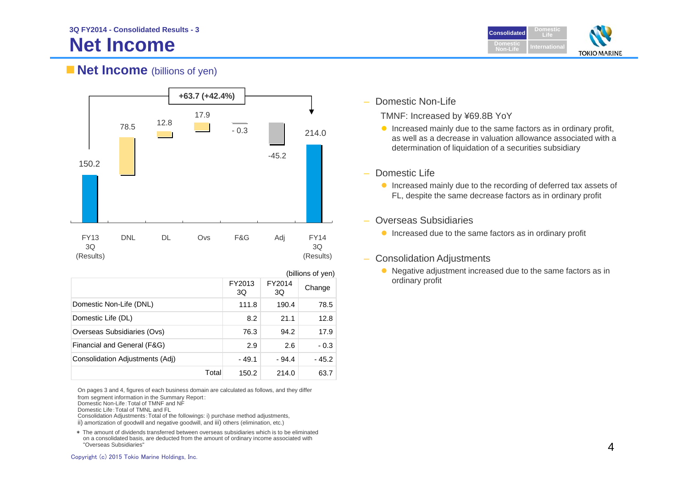

### **Net Income** (billions of yen)



|                                 |       |                                        |         | (billions of yen) |  |  |
|---------------------------------|-------|----------------------------------------|---------|-------------------|--|--|
|                                 |       | FY2013<br>FY2014<br>Change<br>3Q<br>3Q |         |                   |  |  |
| Domestic Non-Life (DNL)         |       | 111.8                                  | 190.4   | 78.5              |  |  |
| Domestic Life (DL)              |       | 8.2                                    | 21.1    | 12.8              |  |  |
| Overseas Subsidiaries (Ovs)     |       | 76.3                                   | 94.2    | 17.9              |  |  |
| Financial and General (F&G)     |       | 2.9                                    | 2.6     | $-0.3$            |  |  |
| Consolidation Adjustments (Adj) |       | $-49.1$                                | $-94.4$ | $-45.2$           |  |  |
|                                 | Total | 150.2                                  | 214.0   | 63.7              |  |  |

On pages 3 and 4, figures of each business domain are calculated as follows, and they differ

from segment information in the Summary Report:

Domestic Non-Life:Total of TMNF and NF

Domestic Life:Total of TMNL and FL

Consolidation Adjustments:Total of the followings: i) purchase method adjustments, ii) amortization of goodwill and negative goodwill, and iii) others (elimination, etc.)

\* The amount of dividends transferred between overseas subsidiaries which is to be eliminated on a consolidated basis, are deducted from the amount of ordinary income associated with "Overseas Subsidiaries"

 $\overline{\phantom{0}}$ Domestic Non-Life

TMNF: Increased by ¥69.8B YoY

- $\bullet$  Increased mainly due to the same factors as in ordinary profit, as well as a decrease in valuation allowance associated with a determination of liquidation of a securities subsidiary
- Domestic Life
	- **Increased mainly due to the recording of deferred tax assets of** FL, despite the same decrease factors as in ordinary profit

### Overseas Subsidiaries

- **Increased due to the same factors as in ordinary profit**
- Consolidation Adjustments
	- Negative adjustment increased due to the same factors as in ordinary profit

Copyright (c) 2015 Tokio Marine Holdings, Inc.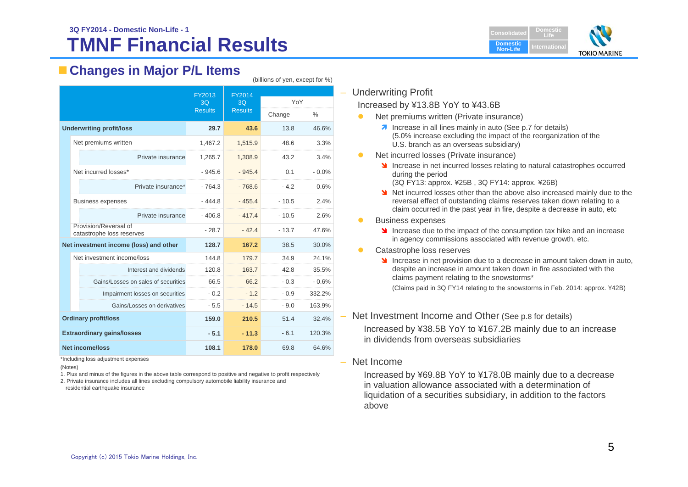#### **TMNF Financial Results 3Q FY2014 - Domestic Non-Life - 1Consolidated Consolidated**



### **Changes in Major P/L Items**

|                                   |                                                    | FY2013         | FY2014         |         |         |  |
|-----------------------------------|----------------------------------------------------|----------------|----------------|---------|---------|--|
|                                   |                                                    | 3Q             | 3Q             | YoY     |         |  |
|                                   |                                                    | <b>Results</b> | <b>Results</b> | Change  | $\%$    |  |
|                                   | <b>Underwriting profit/loss</b>                    | 29.7           | 43.6           | 13.8    | 46.6%   |  |
|                                   | Net premiums written                               | 1,467.2        | 1,515.9        | 48.6    | 3.3%    |  |
|                                   | Private insurance                                  | 1,265.7        | 1,308.9        | 43.2    | 3.4%    |  |
|                                   | Net incurred losses*                               | $-945.6$       | $-945.4$       | 0.1     | $-0.0%$ |  |
|                                   | Private insurance*                                 | $-764.3$       | $-768.6$       | $-4.2$  | 0.6%    |  |
|                                   | <b>Business expenses</b>                           | $-444.8$       | $-455.4$       | $-10.5$ | 2.4%    |  |
|                                   | Private insurance                                  | $-406.8$       | $-417.4$       | $-10.5$ | 2.6%    |  |
|                                   | Provision/Reversal of<br>catastrophe loss reserves | $-28.7$        | $-42.4$        | $-13.7$ | 47.6%   |  |
|                                   | Net investment income (loss) and other             | 128.7          | 167.2          | 38.5    | 30.0%   |  |
|                                   | Net investment income/loss                         | 144.8          | 179.7          | 34.9    | 24.1%   |  |
|                                   | Interest and dividends                             | 120.8          | 163.7          | 42.8    | 35.5%   |  |
|                                   | Gains/Losses on sales of securities                | 66.5           | 66.2           | $-0.3$  | $-0.6%$ |  |
|                                   | Impairment losses on securities                    | $-0.2$         | $-1.2$         | $-0.9$  | 332.2%  |  |
|                                   | Gains/Losses on derivatives                        | $-5.5$         | $-14.5$        | $-9.0$  | 163.9%  |  |
| <b>Ordinary profit/loss</b>       |                                                    | 159.0          | 210.5          | 51.4    | 32.4%   |  |
| <b>Extraordinary gains/losses</b> |                                                    | $-5.1$         | $-11.3$        | $-6.1$  | 120.3%  |  |
| <b>Net income/loss</b>            |                                                    | 108.1          | 178.0          | 69.8    | 64.6%   |  |

\*Including loss adjustment expenses

(Notes)

1. Plus and minus of the figures in the above table correspond to positive and negative to profit respectively

2. Private insurance includes all lines excluding compulsory automobile liability insurance and residential earthquake insurance

### – Underwriting Profit

(billions of yen, except for %)

Increased by ¥13.8B YoY to ¥43.6B

- $\bullet$  Net premiums written (Private insurance)
	- **1** Increase in all lines mainly in auto (See p.7 for details) (5.0% increase excluding the impact of the reorganization of the U.S. branch as an overseas subsidiary)
- $\bullet$  Net incurred losses (Private insurance)
	- **Increase in net incurred losses relating to natural catastrophes occurred** during the period
		- (3Q FY13: approx. ¥25B , 3Q FY14: approx. ¥26B)
	- Net incurred losses other than the above also increased mainly due to the reversal effect of outstanding claims reserves taken down relating to a claim occurred in the past year in fire, despite a decrease in auto, etc
- $\bullet$  Business expenses
	- Increase due to the impact of the consumption tax hike and an increase in agency commissions associated with revenue growth, etc.
- $\bullet$  Catastrophe loss reserves
	- Increase in net provision due to a decrease in amount taken down in auto, despite an increase in amount taken down in fire associated with the claims payment relating to the snowstorms\*

(Claims paid in 3Q FY14 relating to the snowstorms in Feb. 2014: approx. ¥42B)

#### – Net Investment Income and Other (See p.8 for details)

Increased by ¥38.5B YoY to ¥167.2B mainly due to an increase in dividends from overseas subsidiaries

#### – Net Income

Increased by ¥69.8B YoY to ¥178.0B mainly due to a decrease in valuation allowance associated with a determination of liquidation of a securities subsidiary, in addition to the factors above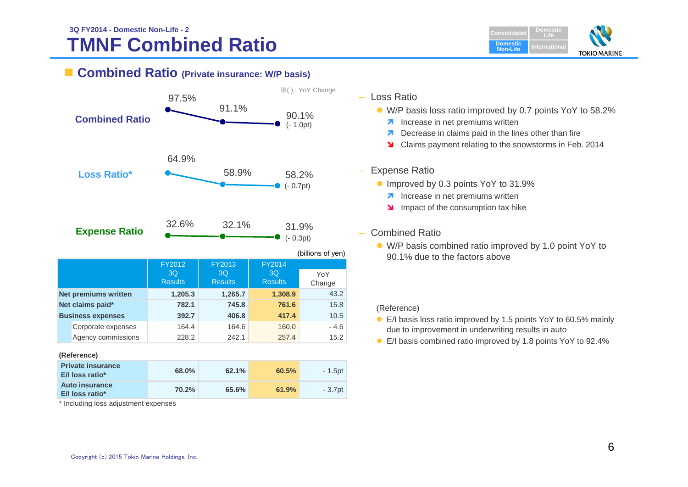#### **TMNF Combined Ratio 3Q FY2014 - Domestic Non-Life - 2Consolidated Consolidated**



### **Combined Ratio (Private insurance: W/P basis)**



| <b>Private insurance</b><br>E/I loss ratio* | <b>68.0%</b> | 62.1% | 60.5% | $-1.5pt$ |
|---------------------------------------------|--------------|-------|-------|----------|
| <b>Auto insurance</b><br>E/I loss ratio*    | 70.2%        | 65.6% | 61.9% | - 3.7pt  |

\* Including loss adjustment expenses

- Loss Ratio
	- W/P basis loss ratio improved by 0.7 points YoY to 58.2%
		- **A** Increase in net premiums written
		- **Decrease in claims paid in the lines other than fire**
		- Claims payment relating to the snowstorms in Feb. 2014

#### – Expense Ratio

- **Improved by 0.3 points YoY to 31.9%** 
	- **A** Increase in net premiums written
	- Impact of the consumption tax hike

#### Combined Ratio

 W/P basis combined ratio improved by 1.0 point YoY to 90.1% due to the factors above

#### (Reference)

- E/I basis loss ratio improved by 1.5 points YoY to 60.5% mainly due to improvement in underwriting results in auto
- E/I basis combined ratio improved by 1.8 points YoY to 92.4%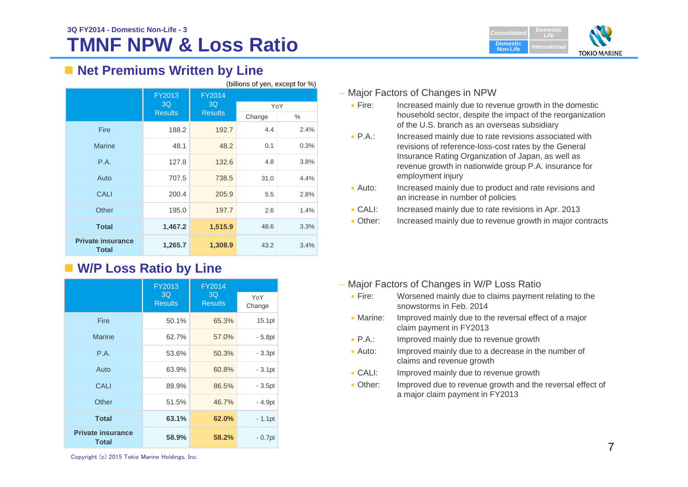# **TMNF NPW & Loss Ratio**



### ■ Net Premiums Written by Line

| (billions of yen, except for %)          |                |                            |        |      |
|------------------------------------------|----------------|----------------------------|--------|------|
|                                          | FY2013<br>3Q   | <b>FY2014</b><br>3Q<br>YoY |        |      |
|                                          | <b>Results</b> | <b>Results</b>             | Change | ℅    |
|                                          |                |                            |        |      |
| Fire                                     | 188.2          | 192.7                      | 4.4    | 2.4% |
| <b>Marine</b>                            | 48.1           | 48.2                       | 0.1    | 0.3% |
| P.A.                                     | 127.8          | 132.6                      | 4.8    | 3.8% |
| Auto                                     | 707.5          | 738.5                      | 31.0   | 4.4% |
| <b>CALI</b>                              | 200.4          | 205.9                      | 5.5    | 2.8% |
| Other                                    | 195.0          | 197.7                      | 2.6    | 1.4% |
| <b>Total</b>                             | 1,467.2        | 1,515.9                    | 48.6   | 3.3% |
| <b>Private insurance</b><br><b>Total</b> | 1,265.7        | 1,308.9                    | 43.2   | 3.4% |

### **W/P Loss Ratio by Line**

|                                          | <b>FY2013</b>        | FY2014               |               |
|------------------------------------------|----------------------|----------------------|---------------|
|                                          | 3Q<br><b>Results</b> | 3Q<br><b>Results</b> | YoY<br>Change |
| <b>Fire</b>                              | 50.1%                | 65.3%                | 15.1pt        |
| <b>Marine</b>                            | 62.7%                | 57.0%                | $-5.8pt$      |
| P.A.                                     | 53.6%                | 50.3%                | $-3.3pt$      |
| Auto                                     | 63.9%                | 60.8%                | $-3.1pt$      |
| CALI                                     | 89.9%                | 86.5%                | $-3.5pt$      |
| Other                                    | 51.5%                | 46.7%                | - 4.9pt       |
| <b>Total</b>                             | 63.1%                | 62.0%                | $-1.1$ pt     |
| <b>Private insurance</b><br><b>Total</b> | 58.9%                | 58.2%                | $-0.7pt$      |

#### – Major Factors of Changes in NPW

- $\bullet$  Fire: Increased mainly due to revenue growth in the domestic household sector, despite the impact of the reorganization of the U.S. branch as an overseas subsidiary
- $\bullet$  P.A.: Increased mainly due to rate revisions associated with revisions of reference-loss-cost rates by the General Insurance Rating Organization of Japan, as well as revenue growth in nationwide group P.A. insurance for employment injury
- $\bullet$  Auto: Increased mainly due to product and rate revisions and an increase in number of policies
- $\bullet$  CALI: Increased mainly due to rate revisions in Apr. 2013
- $\bullet$  Other: Increased mainly due to revenue growth in major contracts

- Major Factors of Changes in W/P Loss Ratio
	- · Fire: Worsened mainly due to claims payment relating to the snowstorms in Feb. 2014
	- Marine: Improved mainly due to the reversal effect of a major claim payment in FY2013
	- $\bullet$  P.A.: Improved mainly due to revenue growth
	- Auto: Improved mainly due to a decrease in the number of claims and revenue growth
	- $\bullet$  CALE Improved mainly due to revenue growth
	- $\bullet$  Other: Improved due to revenue growth and the reversal effect of a major claim payment in FY2013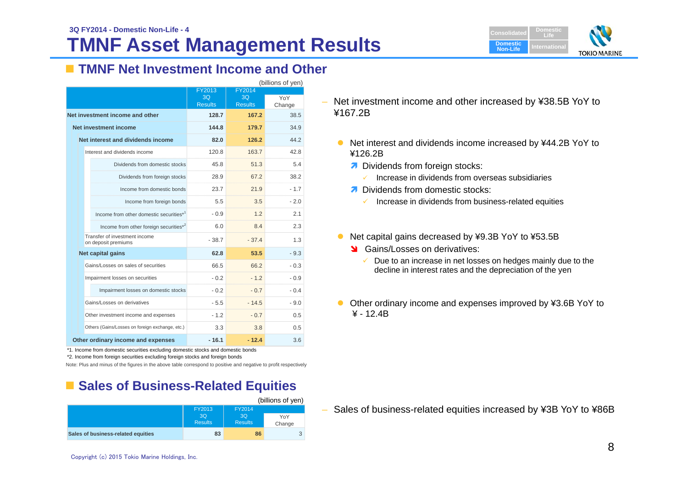

### **TMNF Net Investment Income and Other**

| (billions of yen)                                    |                |                |        |  |
|------------------------------------------------------|----------------|----------------|--------|--|
|                                                      | FY2013         | FY2014         |        |  |
|                                                      | 3Q             | 3O             | YoY    |  |
|                                                      | <b>Results</b> | <b>Results</b> | Change |  |
| Net investment income and other                      | 128.7          | 167.2          | 38.5   |  |
| Net investment income                                | 144.8          | 179.7          | 34.9   |  |
| Net interest and dividends income                    | 82.0           | 126.2          | 44.2   |  |
| Interest and dividends income                        | 120.8          | 163.7          | 42.8   |  |
| Dividends from domestic stocks                       | 45.8           | 51.3           | 5.4    |  |
| Dividends from foreign stocks                        | 28.9           | 67.2           | 38.2   |  |
| Income from domestic bonds                           | 23.7           | 21.9           | - 1.7  |  |
| Income from foreign bonds                            | 5.5            | 3.5            | $-2.0$ |  |
| Income from other domestic securities*1              | $-0.9$         | 1.2            | 2.1    |  |
| Income from other foreign securities*2               | 6.0            | 8.4            | 2.3    |  |
| Transfer of investment income<br>on deposit premiums | $-38.7$        | $-37.4$        | 1.3    |  |
| Net capital gains                                    | 62.8           | 53.5           | $-9.3$ |  |
| Gains/Losses on sales of securities                  | 66.5           | 66.2           | $-0.3$ |  |
| Impairment losses on securities                      | $-02$          | $-12$          | - 0.9  |  |
| Impairment losses on domestic stocks                 | $-0.2$         | $-0.7$         | $-0.4$ |  |
| Gains/Losses on derivatives                          | $-5.5$         | $-14.5$        | $-9.0$ |  |
| Other investment income and expenses                 | $-1.2$         | $-0.7$         | 0.5    |  |
| Others (Gains/Losses on foreign exchange, etc.)      | 3.3            | 3.8            | 0.5    |  |
| Other ordinary income and expenses                   | $-16.1$        | $-12.4$        | 3.6    |  |

\*1. Income from domestic securities excluding domestic stocks and domestic bonds

\*2. Income from foreign securities excluding foreign stocks and foreign bonds

Note: Plus and minus of the figures in the above table correspond to positive and negative to profit respectively

### **Example Sales of Business-Related Equities**

|                                    |                      |                      | (billions of yen) |
|------------------------------------|----------------------|----------------------|-------------------|
|                                    | FY2013               | FY2014               |                   |
|                                    | 3O<br><b>Results</b> | 3Q<br><b>Results</b> | YoY<br>Change     |
| Sales of business-related equities | 83                   | 86                   | 3                 |

– Net investment income and other increased by ¥38.5B YoY to ¥167.2B

- Net interest and dividends income increased by ¥44.2B YoY to ¥126.2B
	- **7** Dividends from foreign stocks:
		- ✓ Increase in dividends from overseas subsidiaries
	- **7** Dividends from domestic stocks:
		- $\checkmark$  Increase in dividends from business-related equities
- Net capital gains decreased by ¥9.3B YoY to ¥53.5B
	- Stains/Losses on derivatives:
		- $\checkmark$  Due to an increase in net losses on hedges mainly due to the decline in interest rates and the depreciation of the yen
- Other ordinary income and expenses improved by ¥3.6B YoY to  $¥ - 12.4B$

– Sales of business-related equities increased by ¥3B YoY to ¥86B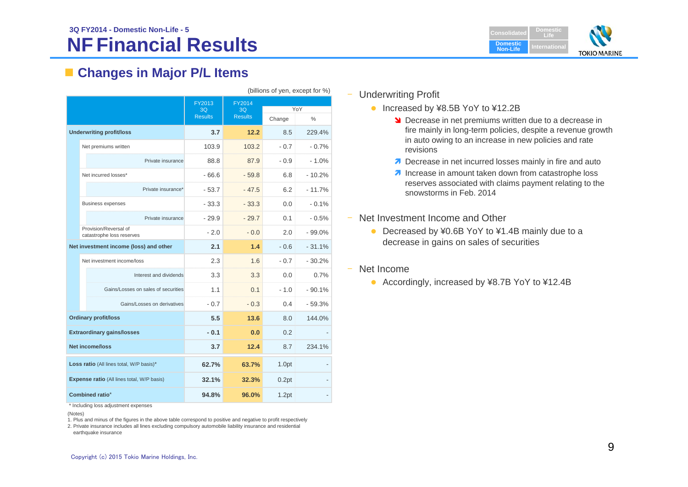#### **NF Financial Results 3Q FY2014 - Domestic Non-Life - 5Consolidated Consolidated**



### **Changes in Major P/L Items**

| (billions of yen, except for %)                   |                                                    |                                |                                |        |          |  |
|---------------------------------------------------|----------------------------------------------------|--------------------------------|--------------------------------|--------|----------|--|
|                                                   |                                                    | FY2013<br>3Q<br><b>Results</b> | FY2014<br>3Q<br><b>Results</b> |        |          |  |
|                                                   |                                                    |                                |                                | YoY    |          |  |
|                                                   |                                                    |                                |                                | Change | $\%$     |  |
| <b>Underwriting profit/loss</b>                   |                                                    | 3.7                            | 12.2                           | 8.5    | 229.4%   |  |
|                                                   | Net premiums written                               | 103.9                          | 103.2                          | $-0.7$ | $-0.7%$  |  |
|                                                   | Private insurance                                  | 88.8                           | 87.9                           | $-0.9$ | $-1.0%$  |  |
|                                                   | Net incurred losses*                               | $-66.6$                        | $-59.8$                        | 6.8    | $-10.2%$ |  |
|                                                   | Private insurance*                                 | $-53.7$                        | $-47.5$                        | 6.2    | $-11.7%$ |  |
|                                                   | <b>Business expenses</b>                           | $-33.3$                        | $-33.3$                        | 0.0    | $-0.1%$  |  |
|                                                   | Private insurance                                  | $-29.9$                        | $-29.7$                        | 0.1    | - 0.5%   |  |
|                                                   | Provision/Reversal of<br>catastrophe loss reserves | $-2.0$                         | $-0.0$                         | 2.0    | $-99.0%$ |  |
| Net investment income (loss) and other            |                                                    | 2.1                            | 1.4                            | $-0.6$ | $-31.1%$ |  |
|                                                   | Net investment income/loss                         | 2.3                            | 1.6                            | $-0.7$ | $-30.2%$ |  |
|                                                   | Interest and dividends                             | 3.3                            | 3.3                            | 0.0    | 0.7%     |  |
|                                                   | Gains/Losses on sales of securities                | 1.1                            | 0.1                            | $-1.0$ | $-90.1%$ |  |
|                                                   | Gains/Losses on derivatives                        | $-0.7$                         | $-0.3$                         | 0.4    | $-59.3%$ |  |
|                                                   | <b>Ordinary profit/loss</b>                        | 5.5                            | 13.6                           | 8.0    | 144.0%   |  |
| <b>Extraordinary gains/losses</b>                 |                                                    | $-0.1$                         | 0.0                            | 0.2    |          |  |
| <b>Net income/loss</b>                            |                                                    | 3.7                            | 12.4                           | 8.7    | 234.1%   |  |
| Loss ratio (All lines total, W/P basis)*          |                                                    | 62.7%                          | 63.7%                          | 1.0pt  |          |  |
| <b>Expense ratio (All lines total, W/P basis)</b> |                                                    | 32.1%                          | 32.3%                          | 0.2pt  |          |  |
| Combined ratio*                                   |                                                    | 94.8%                          | 96.0%                          | 1.2pt  |          |  |

\* Including loss adjustment expenses

(Notes)

1. Plus and minus of the figures in the above table correspond to positive and negative to profit respectively

2. Private insurance includes all lines excluding compulsory automobile liability insurance and residential earthquake insurance

#### ‒ Underwriting Profit

- Increased by ¥8.5B YoY to ¥12.2B
	- **Decrease in net premiums written due to a decrease in** fire mainly in long-term policies, despite a revenue growth in auto owing to an increase in new policies and rate revisions
	- Decrease in net incurred losses mainly in fire and auto
	- **Increase in amount taken down from catastrophe loss** reserves associated with claims payment relating to the snowstorms in Feb. 2014
- Net Investment Income and Other
	- Decreased by ¥0.6B YoY to ¥1.4B mainly due to a decrease in gains on sales of securities
- Net Income
	- Accordingly, increased by ¥8.7B YoY to ¥12.4B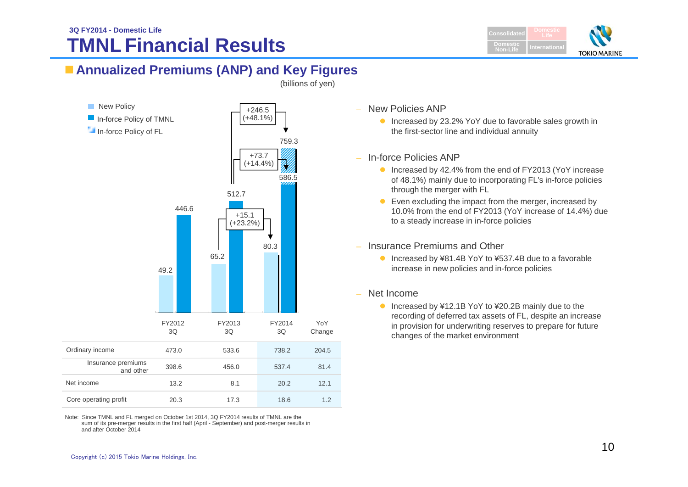### **TMNL Financial Results3Q FY2014 - Domestic Life** Consolidate



### **Annualized Premiums (ANP) and Key Figures**

(billions of yen)



Note: Since TMNL and FL merged on October 1st 2014, 3Q FY2014 results of TMNL are the sum of its pre-merger results in the first half (April - September) and post-merger results in and after October 2014

New Policies ANP

● Increased by 23.2% YoY due to favorable sales growth in the first-sector line and individual annuity

- In-force Policies ANP
	- Increased by 42.4% from the end of FY2013 (YoY increase of 48.1%) mainly due to incorporating FL's in-force policies through the merger with FL
	- Even excluding the impact from the merger, increased by 10.0% from the end of FY2013 (YoY increase of 14.4%) due to a steady increase in in-force policies
- Insurance Premiums and Other
	- Increased by ¥81.4B YoY to ¥537.4B due to a favorable increase in new policies and in-force policies
- Net Income
	- Increased by ¥12.1B YoY to ¥20.2B mainly due to the recording of deferred tax assets of FL, despite an increase in provision for underwriting reserves to prepare for future changes of the market environment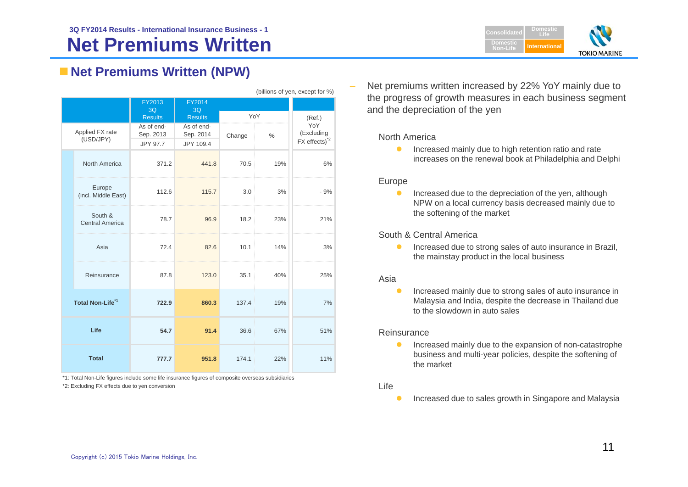### **Net Premiums Written 3Q FY2014 Results - International Insurance Business - 1**



### **Net Premiums Written (NPW)**

|                              |                                   |                         |                         |        |     | (billions of yen, except for %)         |  |
|------------------------------|-----------------------------------|-------------------------|-------------------------|--------|-----|-----------------------------------------|--|
|                              |                                   | FY2013<br>3Q            | FY2014<br>3Q            |        |     |                                         |  |
|                              |                                   | <b>Results</b>          | <b>Results</b>          | YoY    |     | (Ref.)                                  |  |
| Applied FX rate<br>(USD/JPY) |                                   | As of end-<br>Sep. 2013 | As of end-<br>Sep. 2014 | Change | %   | YoY<br>(Excluding                       |  |
|                              |                                   | JPY 97.7                | JPY 109.4               |        |     | $FX$ effects) <sup><math>2</math></sup> |  |
|                              | North America                     | 371.2                   | 441.8                   | 70.5   | 19% | 6%                                      |  |
|                              | Europe<br>(incl. Middle East)     | 112.6                   | 115.7                   | 3.0    | 3%  | $-9%$                                   |  |
|                              | South &<br><b>Central America</b> | 78.7                    | 96.9                    | 18.2   | 23% | 21%                                     |  |
|                              | Asia                              | 72.4                    | 82.6                    | 10.1   | 14% | 3%                                      |  |
|                              | Reinsurance                       | 87.8                    | 123.0                   | 35.1   | 40% | 25%                                     |  |
| Total Non-Life <sup>*1</sup> |                                   | 722.9                   | 860.3                   | 137.4  | 19% | 7%                                      |  |
| Life                         |                                   | 54.7                    | 91.4                    | 36.6   | 67% | 51%                                     |  |
| <b>Total</b>                 |                                   | 777.7                   | 951.8                   | 174.1  | 22% | 11%                                     |  |

\*1: Total Non-Life figures include some life insurance figures of composite overseas subsidiaries

\*2: Excluding FX effects due to yen conversion

 Net premiums written increased by 22% YoY mainly due to the progress of growth measures in each business segment and the depreciation of the yen

#### North America

 $\bullet$  Increased mainly due to high retention ratio and rate increases on the renewal book at Philadelphia and Delphi

#### Europe

 $\bullet$  Increased due to the depreciation of the yen, although NPW on a local currency basis decreased mainly due to the softening of the market

#### South & Central America

 $\bullet$  Increased due to strong sales of auto insurance in Brazil, the mainstay product in the local business

#### Asia

 $\bullet$  Increased mainly due to strong sales of auto insurance in Malaysia and India, despite the decrease in Thailand due to the slowdown in auto sales

#### Reinsurance

 $\bullet$  Increased mainly due to the expansion of non-catastrophe business and multi-year policies, despite the softening of the market

#### Life

 $\bullet$ Increased due to sales growth in Singapore and Malaysia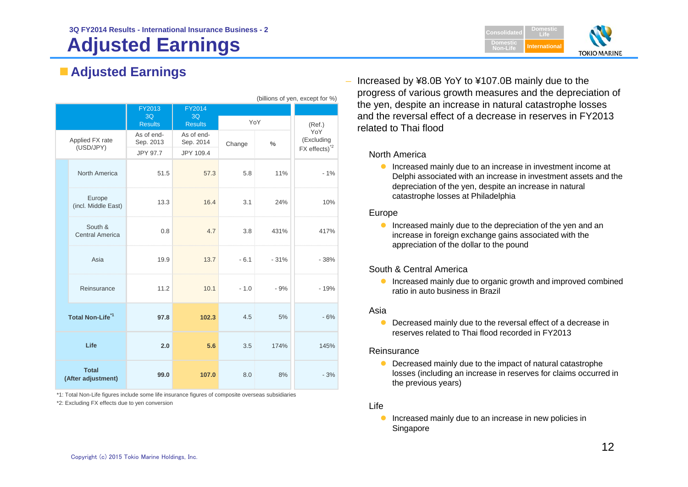# **Adjusted Earnings**



### **Adjusted Earnings**

| (DIIIIONS OF YEAR EXCEPT FOR %)    |                                   |                 |                |                  |        |                           |  |
|------------------------------------|-----------------------------------|-----------------|----------------|------------------|--------|---------------------------|--|
|                                    |                                   | FY2013          | FY2014         |                  |        |                           |  |
|                                    |                                   | 3Q              | 3Q             |                  |        |                           |  |
|                                    |                                   | <b>Results</b>  | <b>Results</b> | YoY              |        | (Ref.)                    |  |
| Applied FX rate<br>(USD/JPY)       |                                   | As of end-      | As of end-     |                  |        | YoY                       |  |
|                                    |                                   | Sep. 2013       | Sep. 2014      | Change           | $\%$   | (Excluding                |  |
|                                    |                                   | <b>JPY 97.7</b> | JPY 109.4      |                  |        | FX effects) <sup>*2</sup> |  |
|                                    | North America                     | 51.5            | 57.3           | 5.8              | 11%    | $-1%$                     |  |
|                                    | Europe<br>(incl. Middle East)     | 13.3            | 16.4           | 3.1              | 24%    | 10%                       |  |
|                                    | South &<br><b>Central America</b> | 0.8             | 4.7            | 3.8 <sup>°</sup> | 431%   | 417%                      |  |
|                                    | Asia                              | 19.9            | 13.7           | $-6.1$           | $-31%$ | $-38%$                    |  |
|                                    | Reinsurance                       | 11.2            | 10.1           | $-1.0$           | $-9%$  | $-19%$                    |  |
| Total Non-Life <sup>"1</sup>       |                                   | 97.8            | 102.3          | 4.5              | 5%     | $-6%$                     |  |
| Life                               |                                   | 2.0             | 5.6            | 3.5              | 174%   | 145%                      |  |
| <b>Total</b><br>(After adjustment) |                                   | 99.0            | 107.0          | 8.0              | 8%     | $-3%$                     |  |

\*1: Total Non-Life figures include some life insurance figures of composite overseas subsidiaries

\*2: Excluding FX effects due to yen conversion

 $\epsilon$  of  $\epsilon$   $\epsilon$   $\epsilon$   $\epsilon$   $\epsilon$ 

 Increased by ¥8.0B YoY to ¥107.0B mainly due to the progress of various growth measures and the depreciation of the yen, despite an increase in natural catastrophe losses and the reversal effect of a decrease in reserves in FY2013 related to Thai flood

#### North America

**Increased mainly due to an increase in investment income at** Delphi associated with an increase in investment assets and the depreciation of the yen, despite an increase in natural catastrophe losses at Philadelphia

#### Europe

**Increased mainly due to the depreciation of the yen and an** increase in foreign exchange gains associated with the appreciation of the dollar to the pound

#### South & Central America

**Increased mainly due to organic growth and improved combined** ratio in auto business in Brazil

#### Asia

 $\bullet$  Decreased mainly due to the reversal effect of a decrease in reserves related to Thai flood recorded in FY2013

#### **Reinsurance**

- Decreased mainly due to the impact of natural catastrophe losses (including an increase in reserves for claims occurred in the previous years)
- Life
	- $\bullet$  Increased mainly due to an increase in new policies in Singapore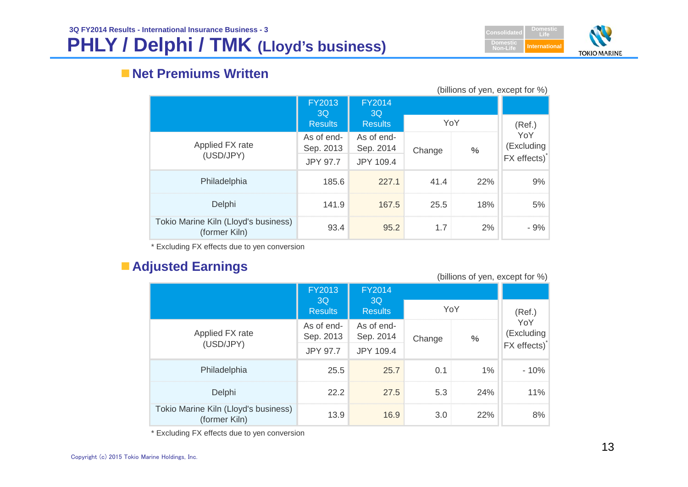

### **Net Premiums Written**

| (billions of yen, except for %)                       |                         |                         |        |      |                   |
|-------------------------------------------------------|-------------------------|-------------------------|--------|------|-------------------|
|                                                       | FY2013<br>3Q            | <b>FY2014</b><br>3Q     |        |      |                   |
|                                                       | <b>Results</b>          | <b>Results</b>          |        | YoY  | (Ref.)            |
| Applied FX rate                                       | As of end-<br>Sep. 2013 | As of end-<br>Sep. 2014 | Change | $\%$ | YoY<br>(Excluding |
| (USD/JPY)                                             | <b>JPY 97.7</b>         | JPY 109.4               |        |      | FX effects)       |
| Philadelphia                                          | 185.6                   | 227.1                   | 41.4   | 22%  | 9%                |
| Delphi                                                | 141.9                   | 167.5                   | 25.5   | 18%  | 5%                |
| Tokio Marine Kiln (Lloyd's business)<br>(former Kiln) | 93.4                    | 95.2                    | 1.7    | 2%   | $-9%$             |

\* Excluding FX effects due to yen conversion

### **Adjusted Earnings**

| (billions of yen, except for %)                       |                         |                         |        |       |                                             |  |
|-------------------------------------------------------|-------------------------|-------------------------|--------|-------|---------------------------------------------|--|
|                                                       | <b>FY2013</b>           | <b>FY2014</b>           |        |       |                                             |  |
|                                                       | 3Q<br><b>Results</b>    | 3Q<br><b>Results</b>    | YoY    |       | (Ref.)                                      |  |
| Applied FX rate                                       | As of end-<br>Sep. 2013 | As of end-<br>Sep. 2014 | Change | $\%$  | YoY<br>(Excluding<br>$\mathsf{FX}$ effects) |  |
| (USD/JPY)                                             | <b>JPY 97.7</b>         | JPY 109.4               |        |       |                                             |  |
| Philadelphia                                          | 25.5                    | 25.7                    | 0.1    | $1\%$ | $-10%$                                      |  |
| Delphi                                                | 22.2                    | 27.5                    | 5.3    | 24%   | 11%                                         |  |
| Tokio Marine Kiln (Lloyd's business)<br>(former Kiln) | 13.9                    | 16.9                    | 3.0    | 22%   | 8%                                          |  |

\* Excluding FX effects due to yen conversion